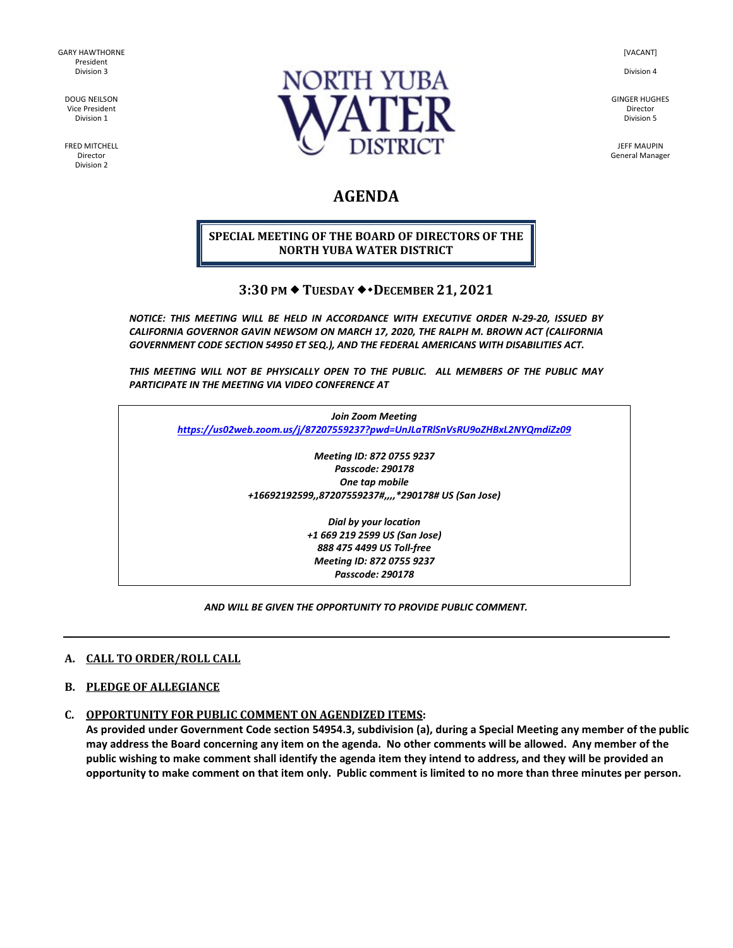GARY HAWTHORNE President Division 3

DOUG NEILSON Vice President Division 1

FRED MITCHELL Director Division 2



[VACANT]

Division 4

GINGER HUGHES Director Division 5

JEFF MAUPIN General Manager

# **AGENDA**

#### **SPECIAL MEETING OF THE BOARD OF DIRECTORS OF THE NORTH YUBA WATER DISTRICT**

## **3:30 PM ◆ TUESDAY ◆ ◆ DECEMBER 21, 2021**

*NOTICE: THIS MEETING WILL BE HELD IN ACCORDANCE WITH EXECUTIVE ORDER N-29-20, ISSUED BY CALIFORNIA GOVERNOR GAVIN NEWSOM ON MARCH 17, 2020, THE RALPH M. BROWN ACT (CALIFORNIA GOVERNMENT CODE SECTION 54950 ET SEQ.), AND THE FEDERAL AMERICANS WITH DISABILITIES ACT.* 

*THIS MEETING WILL NOT BE PHYSICALLY OPEN TO THE PUBLIC. ALL MEMBERS OF THE PUBLIC MAY PARTICIPATE IN THE MEETING VIA VIDEO CONFERENCE AT* 

*Join Zoom Meeting <https://us02web.zoom.us/j/87207559237?pwd=UnJLaTRlSnVsRU9oZHBxL2NYQmdiZz09>*

> *Meeting ID: 872 0755 9237 Passcode: 290178 One tap mobile +16692192599,,87207559237#,,,,\*290178# US (San Jose)*

> > *Dial by your location +1 669 219 2599 US (San Jose) 888 475 4499 US Toll-free Meeting ID: 872 0755 9237 Passcode: 290178*

#### *AND WILL BE GIVEN THE OPPORTUNITY TO PROVIDE PUBLIC COMMENT.*

#### **A. CALL TO ORDER/ROLL CALL**

#### **B. PLEDGE OF ALLEGIANCE**

#### **C. OPPORTUNITY FOR PUBLIC COMMENT ON AGENDIZED ITEMS:**

**As provided under Government Code section 54954.3, subdivision (a), during a Special Meeting any member of the public may address the Board concerning any item on the agenda. No other comments will be allowed. Any member of the public wishing to make comment shall identify the agenda item they intend to address, and they will be provided an opportunity to make comment on that item only. Public comment is limited to no more than three minutes per person.**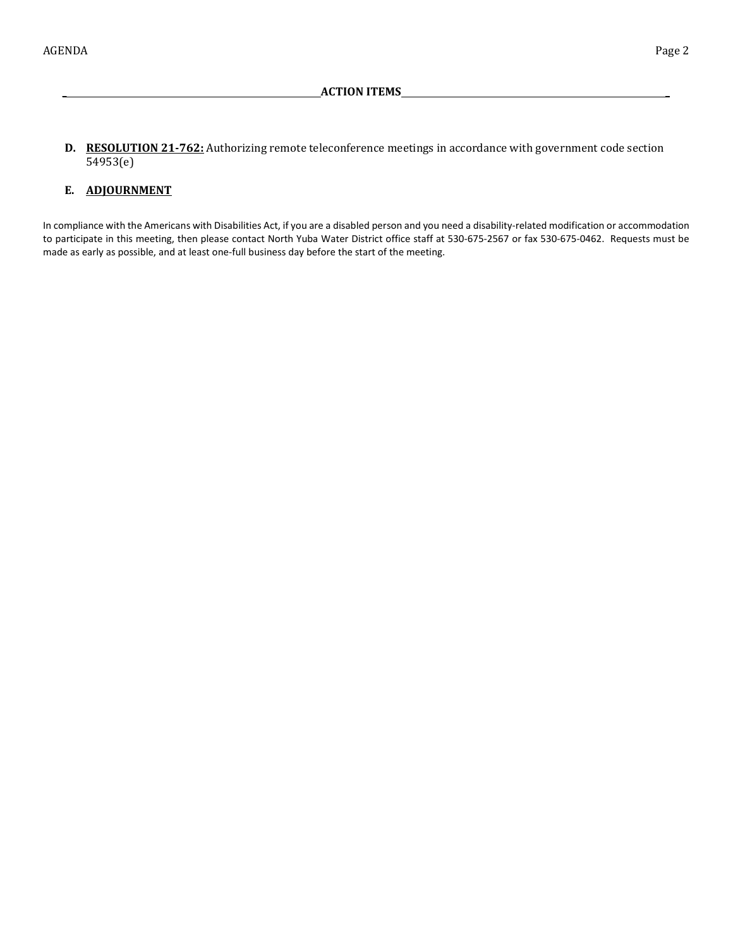$W_{\rm eff}$  from Fund  $\sim$ **D. RESOLUTION 21-762:** Authorizing remote teleconference meetings in accordance with government code section 54953(e)

**\_ ACTION ITEMS \_**

### **E. ADJOURNMENT**

In compliance with the Americans with Disabilities Act, if you are a disabled person and you need a disability-related modification or accommodation to participate in this meeting, then please contact North Yuba Water District office staff at 530-675-2567 or fax 530-675-0462. Requests must be made as early as possible, and at least one-full business day before the start of the meeting.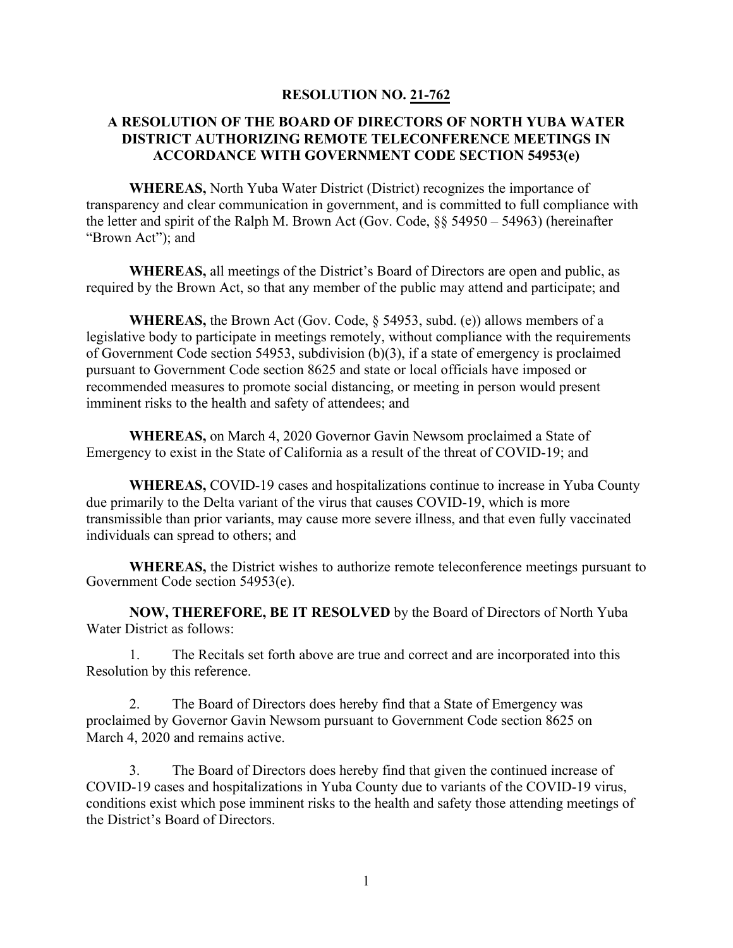## **RESOLUTION NO. 21-762**

## **A RESOLUTION OF THE BOARD OF DIRECTORS OF NORTH YUBA WATER DISTRICT AUTHORIZING REMOTE TELECONFERENCE MEETINGS IN ACCORDANCE WITH GOVERNMENT CODE SECTION 54953(e)**

**WHEREAS,** North Yuba Water District (District) recognizes the importance of transparency and clear communication in government, and is committed to full compliance with the letter and spirit of the Ralph M. Brown Act (Gov. Code, §§ 54950 – 54963) (hereinafter "Brown Act"); and

**WHEREAS,** all meetings of the District's Board of Directors are open and public, as required by the Brown Act, so that any member of the public may attend and participate; and

**WHEREAS,** the Brown Act (Gov. Code, § 54953, subd. (e)) allows members of a legislative body to participate in meetings remotely, without compliance with the requirements of Government Code section 54953, subdivision (b)(3), if a state of emergency is proclaimed pursuant to Government Code section 8625 and state or local officials have imposed or recommended measures to promote social distancing, or meeting in person would present imminent risks to the health and safety of attendees; and

**WHEREAS,** on March 4, 2020 Governor Gavin Newsom proclaimed a State of Emergency to exist in the State of California as a result of the threat of COVID-19; and

**WHEREAS,** COVID-19 cases and hospitalizations continue to increase in Yuba County due primarily to the Delta variant of the virus that causes COVID-19, which is more transmissible than prior variants, may cause more severe illness, and that even fully vaccinated individuals can spread to others; and

**WHEREAS,** the District wishes to authorize remote teleconference meetings pursuant to Government Code section 54953(e).

**NOW, THEREFORE, BE IT RESOLVED** by the Board of Directors of North Yuba Water District as follows:

1. The Recitals set forth above are true and correct and are incorporated into this Resolution by this reference.

2. The Board of Directors does hereby find that a State of Emergency was proclaimed by Governor Gavin Newsom pursuant to Government Code section 8625 on March 4, 2020 and remains active.

3. The Board of Directors does hereby find that given the continued increase of COVID-19 cases and hospitalizations in Yuba County due to variants of the COVID-19 virus, conditions exist which pose imminent risks to the health and safety those attending meetings of the District's Board of Directors.